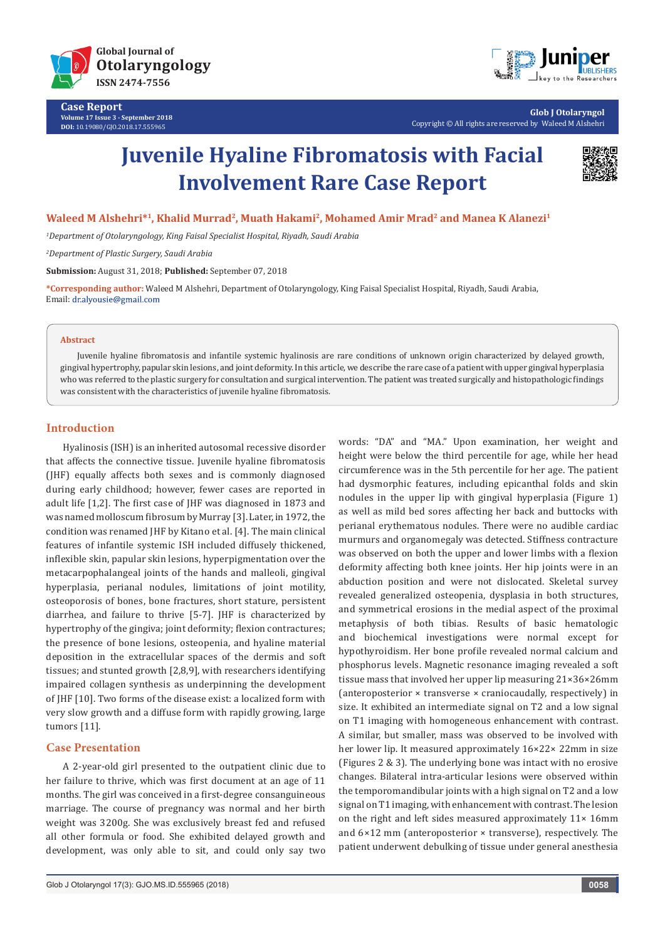

**Case Report Volume 17 Issue 3 - September 2018 DOI:** [10.19080/GJO.2018.17.555965](http://dx.doi.org/10.19080/GJO.2018.17.555965)



**Glob J Otolaryngol** Copyright © All rights are reserved by Waleed M Alshehri

# **Juvenile Hyaline Fibromatosis with Facial Involvement Rare Case Report**



## Waleed M Alshehri<sup>\*1</sup>, Khalid Murrad<sup>2</sup>, Muath Hakami<sup>2</sup>, Mohamed Amir Mrad<sup>2</sup> and Manea K Alanezi<sup>1</sup>

*1 Department of Otolaryngology, King Faisal Specialist Hospital, Riyadh, Saudi Arabia*

*2 Department of Plastic Surgery, Saudi Arabia*

**Submission:** August 31, 2018; **Published:** September 07, 2018

**\*Corresponding author:** Waleed M Alshehri, Department of Otolaryngology, King Faisal Specialist Hospital, Riyadh, Saudi Arabia, Email: dr.alyousie@gmail.com

### **Abstract**

Juvenile hyaline fibromatosis and infantile systemic hyalinosis are rare conditions of unknown origin characterized by delayed growth, gingival hypertrophy, papular skin lesions, and joint deformity. In this article, we describe the rare case of a patient with upper gingival hyperplasia who was referred to the plastic surgery for consultation and surgical intervention. The patient was treated surgically and histopathologic findings was consistent with the characteristics of juvenile hyaline fibromatosis.

## **Introduction**

Hyalinosis (ISH) is an inherited autosomal recessive disorder that affects the connective tissue. Juvenile hyaline fibromatosis (JHF) equally affects both sexes and is commonly diagnosed during early childhood; however, fewer cases are reported in adult life [1,2]. The first case of JHF was diagnosed in 1873 and was named molloscum fibrosum by Murray [3]. Later, in 1972, the condition was renamed JHF by Kitano et al. [4]. The main clinical features of infantile systemic ISH included diffusely thickened, inflexible skin, papular skin lesions, hyperpigmentation over the metacarpophalangeal joints of the hands and malleoli, gingival hyperplasia, perianal nodules, limitations of joint motility, osteoporosis of bones, bone fractures, short stature, persistent diarrhea, and failure to thrive [5-7]. JHF is characterized by hypertrophy of the gingiva; joint deformity; flexion contractures; the presence of bone lesions, osteopenia, and hyaline material deposition in the extracellular spaces of the dermis and soft tissues; and stunted growth [2,8,9], with researchers identifying impaired collagen synthesis as underpinning the development of JHF [10]. Two forms of the disease exist: a localized form with very slow growth and a diffuse form with rapidly growing, large tumors [11].

## **Case Presentation**

A 2-year-old girl presented to the outpatient clinic due to her failure to thrive, which was first document at an age of 11 months. The girl was conceived in a first-degree consanguineous marriage. The course of pregnancy was normal and her birth weight was 3200g. She was exclusively breast fed and refused all other formula or food. She exhibited delayed growth and development, was only able to sit, and could only say two

words: "DA" and "MA." Upon examination, her weight and height were below the third percentile for age, while her head circumference was in the 5th percentile for her age. The patient had dysmorphic features, including epicanthal folds and skin nodules in the upper lip with gingival hyperplasia (Figure 1) as well as mild bed sores affecting her back and buttocks with perianal erythematous nodules. There were no audible cardiac murmurs and organomegaly was detected. Stiffness contracture was observed on both the upper and lower limbs with a flexion deformity affecting both knee joints. Her hip joints were in an abduction position and were not dislocated. Skeletal survey revealed generalized osteopenia, dysplasia in both structures, and symmetrical erosions in the medial aspect of the proximal metaphysis of both tibias. Results of basic hematologic and biochemical investigations were normal except for hypothyroidism. Her bone profile revealed normal calcium and phosphorus levels. Magnetic resonance imaging revealed a soft tissue mass that involved her upper lip measuring 21×36×26mm (anteroposterior × transverse × craniocaudally, respectively) in size. It exhibited an intermediate signal on T2 and a low signal on T1 imaging with homogeneous enhancement with contrast. A similar, but smaller, mass was observed to be involved with her lower lip. It measured approximately 16×22× 22mm in size (Figures 2 & 3). The underlying bone was intact with no erosive changes. Bilateral intra-articular lesions were observed within the temporomandibular joints with a high signal on T2 and a low signal on T1 imaging, with enhancement with contrast. The lesion on the right and left sides measured approximately 11× 16mm and 6×12 mm (anteroposterior × transverse), respectively. The patient underwent debulking of tissue under general anesthesia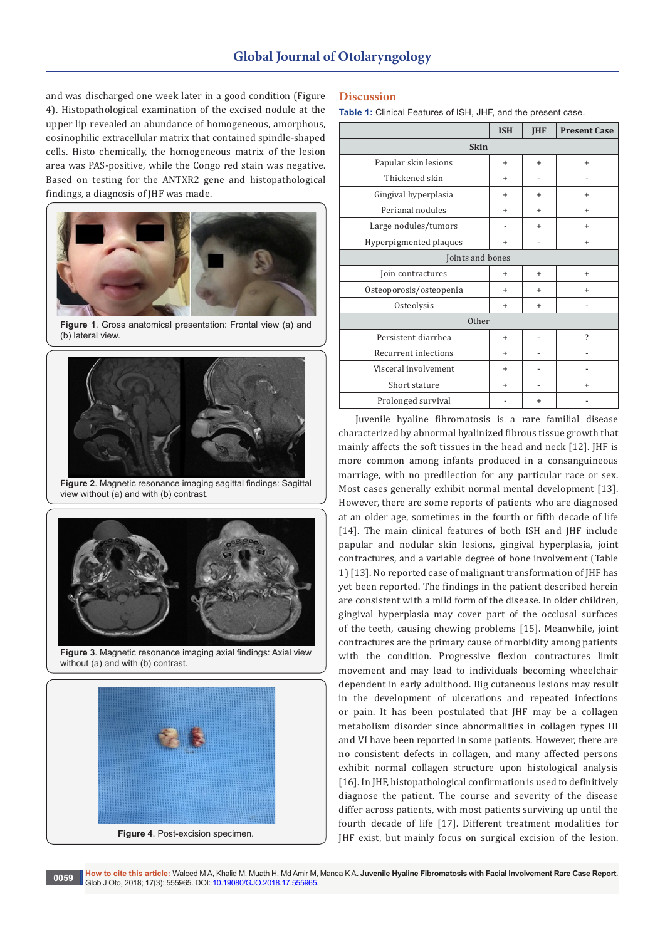# **Global Journal of Otolaryngology**

and was discharged one week later in a good condition (Figure 4). Histopathological examination of the excised nodule at the upper lip revealed an abundance of homogeneous, amorphous, eosinophilic extracellular matrix that contained spindle-shaped cells. Histo chemically, the homogeneous matrix of the lesion area was PAS-positive, while the Congo red stain was negative. Based on testing for the ANTXR2 gene and histopathological findings, a diagnosis of JHF was made.



**Figure 1**. Gross anatomical presentation: Frontal view (a) and (b) lateral view.



**Figure 2**. Magnetic resonance imaging sagittal findings: Sagittal view without (a) and with (b) contrast.



**Figure 3**. Magnetic resonance imaging axial findings: Axial view without (a) and with (b) contrast.



## **Discussion**

**Table 1:** Clinical Features of ISH, JHF, and the present case.

|                         | <b>ISH</b>     | <b>IHF</b> | <b>Present Case</b>      |
|-------------------------|----------------|------------|--------------------------|
| <b>Skin</b>             |                |            |                          |
| Papular skin lesions    | $\ddot{}$      | $+$        | $\ddot{}$                |
| Thickened skin          | $\ddot{}$      |            |                          |
| Gingival hyperplasia    | +              | $\ddot{}$  | +                        |
| Perianal nodules        | $\ddot{}$      | $\ddot{}$  | +                        |
| Large nodules/tumors    | $\overline{a}$ | $\ddot{}$  | $\ddot{}$                |
| Hyperpigmented plaques  | +              |            | $\ddot{}$                |
| Joints and bones        |                |            |                          |
| Join contractures       | $\hbox{ }$     | $+$        | $\ddot{}$                |
| Osteoporosis/osteopenia | $\ddot{}$      | $\ddot{}$  | $\ddot{}$                |
| Osteolysis              | $\ddot{}$      | $\ddot{}$  |                          |
| Other                   |                |            |                          |
| Persistent diarrhea     | $\ddot{}$      |            | $\overline{\phantom{a}}$ |
| Recurrent infections    | $+$            |            |                          |
| Visceral involvement    | $\ddot{}$      |            |                          |
| Short stature           | $\ddot{}$      |            | $\ddot{}$                |
| Prolonged survival      |                | $\ddot{}$  |                          |

Juvenile hyaline fibromatosis is a rare familial disease characterized by abnormal hyalinized fibrous tissue growth that mainly affects the soft tissues in the head and neck [12]. JHF is more common among infants produced in a consanguineous marriage, with no predilection for any particular race or sex. Most cases generally exhibit normal mental development [13]. However, there are some reports of patients who are diagnosed at an older age, sometimes in the fourth or fifth decade of life [14]. The main clinical features of both ISH and JHF include papular and nodular skin lesions, gingival hyperplasia, joint contractures, and a variable degree of bone involvement (Table 1) [13]. No reported case of malignant transformation of JHF has yet been reported. The findings in the patient described herein are consistent with a mild form of the disease. In older children, gingival hyperplasia may cover part of the occlusal surfaces of the teeth, causing chewing problems [15]. Meanwhile, joint contractures are the primary cause of morbidity among patients with the condition. Progressive flexion contractures limit movement and may lead to individuals becoming wheelchair dependent in early adulthood. Big cutaneous lesions may result in the development of ulcerations and repeated infections or pain. It has been postulated that JHF may be a collagen metabolism disorder since abnormalities in collagen types III and VI have been reported in some patients. However, there are no consistent defects in collagen, and many affected persons exhibit normal collagen structure upon histological analysis [16]. In JHF, histopathological confirmation is used to definitively diagnose the patient. The course and severity of the disease differ across patients, with most patients surviving up until the fourth decade of life [17]. Different treatment modalities for JHF exist, but mainly focus on surgical excision of the lesion.